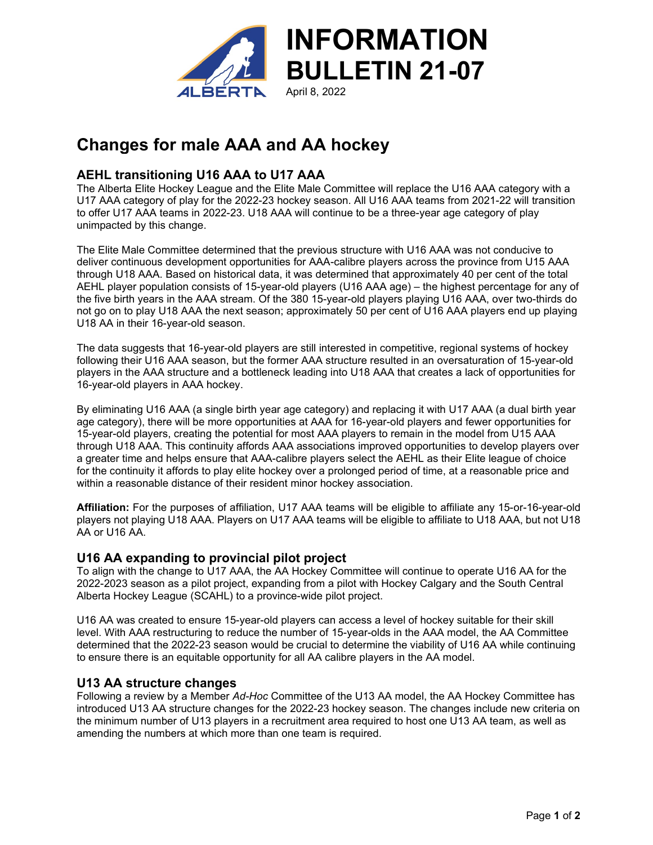

## **Changes for male AAA and AA hockey**

### **AEHL transitioning U16 AAA to U17 AAA**

The Alberta Elite Hockey League and the Elite Male Committee will replace the U16 AAA category with a U17 AAA category of play for the 2022-23 hockey season. All U16 AAA teams from 2021-22 will transition to offer U17 AAA teams in 2022-23. U18 AAA will continue to be a three-year age category of play unimpacted by this change.

The Elite Male Committee determined that the previous structure with U16 AAA was not conducive to deliver continuous development opportunities for AAA-calibre players across the province from U15 AAA through U18 AAA. Based on historical data, it was determined that approximately 40 per cent of the total AEHL player population consists of 15-year-old players (U16 AAA age) – the highest percentage for any of the five birth years in the AAA stream. Of the 380 15-year-old players playing U16 AAA, over two-thirds do not go on to play U18 AAA the next season; approximately 50 per cent of U16 AAA players end up playing U18 AA in their 16-year-old season.

The data suggests that 16-year-old players are still interested in competitive, regional systems of hockey following their U16 AAA season, but the former AAA structure resulted in an oversaturation of 15-year-old players in the AAA structure and a bottleneck leading into U18 AAA that creates a lack of opportunities for 16-year-old players in AAA hockey.

By eliminating U16 AAA (a single birth year age category) and replacing it with U17 AAA (a dual birth year age category), there will be more opportunities at AAA for 16-year-old players and fewer opportunities for 15-year-old players, creating the potential for most AAA players to remain in the model from U15 AAA through U18 AAA. This continuity affords AAA associations improved opportunities to develop players over a greater time and helps ensure that AAA-calibre players select the AEHL as their Elite league of choice for the continuity it affords to play elite hockey over a prolonged period of time, at a reasonable price and within a reasonable distance of their resident minor hockey association.

**Affiliation:** For the purposes of affiliation, U17 AAA teams will be eligible to affiliate any 15-or-16-year-old players not playing U18 AAA. Players on U17 AAA teams will be eligible to affiliate to U18 AAA, but not U18 AA or U16 AA.

#### **U16 AA expanding to provincial pilot project**

To align with the change to U17 AAA, the AA Hockey Committee will continue to operate U16 AA for the 2022-2023 season as a pilot project, expanding from a pilot with Hockey Calgary and the South Central Alberta Hockey League (SCAHL) to a province-wide pilot project.

U16 AA was created to ensure 15-year-old players can access a level of hockey suitable for their skill level. With AAA restructuring to reduce the number of 15-year-olds in the AAA model, the AA Committee determined that the 2022-23 season would be crucial to determine the viability of U16 AA while continuing to ensure there is an equitable opportunity for all AA calibre players in the AA model.

#### **U13 AA structure changes**

Following a review by a Member *Ad-Hoc* Committee of the U13 AA model, the AA Hockey Committee has introduced U13 AA structure changes for the 2022-23 hockey season. The changes include new criteria on the minimum number of U13 players in a recruitment area required to host one U13 AA team, as well as amending the numbers at which more than one team is required.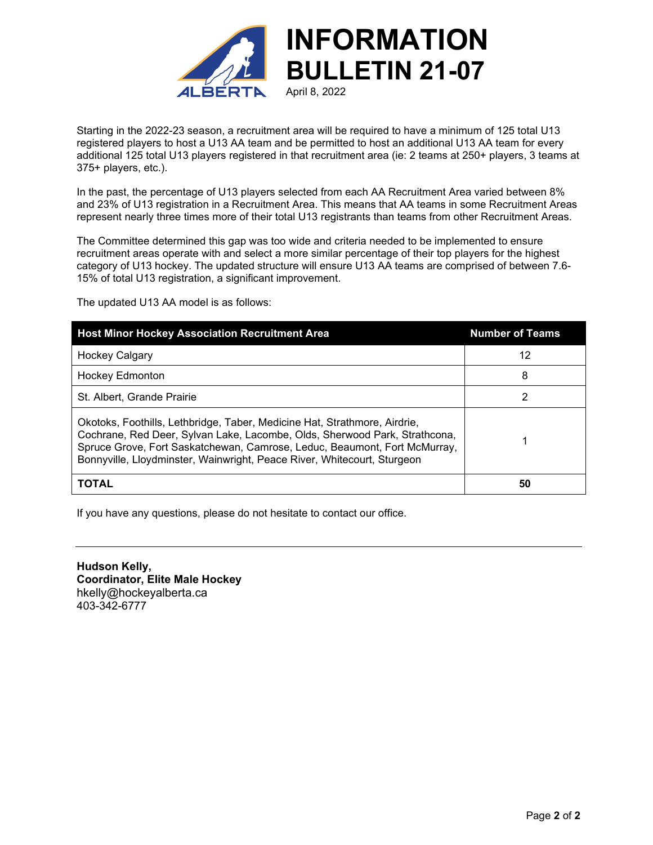

Starting in the 2022-23 season, a recruitment area will be required to have a minimum of 125 total U13 registered players to host a U13 AA team and be permitted to host an additional U13 AA team for every additional 125 total U13 players registered in that recruitment area (ie: 2 teams at 250+ players, 3 teams at 375+ players, etc.).

In the past, the percentage of U13 players selected from each AA Recruitment Area varied between 8% and 23% of U13 registration in a Recruitment Area. This means that AA teams in some Recruitment Areas represent nearly three times more of their total U13 registrants than teams from other Recruitment Areas.

The Committee determined this gap was too wide and criteria needed to be implemented to ensure recruitment areas operate with and select a more similar percentage of their top players for the highest category of U13 hockey. The updated structure will ensure U13 AA teams are comprised of between 7.6- 15% of total U13 registration, a significant improvement.

The updated U13 AA model is as follows:

| <b>Host Minor Hockey Association Recruitment Area</b>                                                                                                                                                                                                                                                           | <b>Number of Teams</b> |
|-----------------------------------------------------------------------------------------------------------------------------------------------------------------------------------------------------------------------------------------------------------------------------------------------------------------|------------------------|
| <b>Hockey Calgary</b>                                                                                                                                                                                                                                                                                           | 12                     |
| <b>Hockey Edmonton</b>                                                                                                                                                                                                                                                                                          | 8                      |
| St. Albert. Grande Prairie                                                                                                                                                                                                                                                                                      | 2                      |
| Okotoks, Foothills, Lethbridge, Taber, Medicine Hat, Strathmore, Airdrie,<br>Cochrane, Red Deer, Sylvan Lake, Lacombe, Olds, Sherwood Park, Strathcona,<br>Spruce Grove, Fort Saskatchewan, Camrose, Leduc, Beaumont, Fort McMurray,<br>Bonnyville, Lloydminster, Wainwright, Peace River, Whitecourt, Sturgeon |                        |
| TOTAL                                                                                                                                                                                                                                                                                                           | 50                     |

If you have any questions, please do not hesitate to contact our office.

**Hudson Kelly, Coordinator, Elite Male Hockey** hkelly@hockeyalberta.ca 403-342-6777